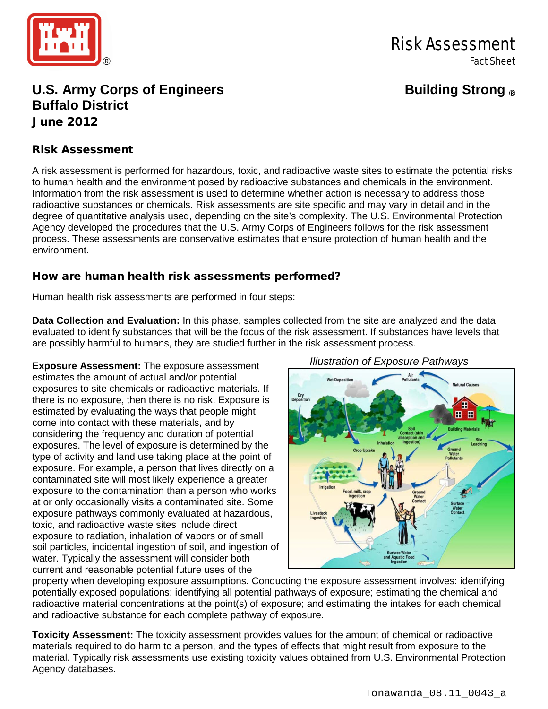

# **U.S. Army Corps of Engineers Building Strong ® Buffalo District** June 2012

#### Risk Assessment

A risk assessment is performed for hazardous, toxic, and radioactive waste sites to estimate the potential risks to human health and the environment posed by radioactive substances and chemicals in the environment. Information from the risk assessment is used to determine whether action is necessary to address those radioactive substances or chemicals. Risk assessments are site specific and may vary in detail and in the degree of quantitative analysis used, depending on the site's complexity. The U.S. Environmental Protection Agency developed the procedures that the U.S. Army Corps of Engineers follows for the risk assessment process. These assessments are conservative estimates that ensure protection of human health and the environment.

#### How are human health risk assessments performed?

Human health risk assessments are performed in four steps:

**Data Collection and Evaluation:** In this phase, samples collected from the site are analyzed and the data evaluated to identify substances that will be the focus of the risk assessment. If substances have levels that are possibly harmful to humans, they are studied further in the risk assessment process.

**Exposure Assessment:** The exposure assessment estimates the amount of actual and/or potential exposures to site chemicals or radioactive materials. If there is no exposure, then there is no risk. Exposure is estimated by evaluating the ways that people might come into contact with these materials, and by considering the frequency and duration of potential exposures. The level of exposure is determined by the type of activity and land use taking place at the point of exposure. For example, a person that lives directly on a contaminated site will most likely experience a greater exposure to the contamination than a person who works at or only occasionally visits a contaminated site. Some exposure pathways commonly evaluated at hazardous, toxic, and radioactive waste sites include direct exposure to radiation, inhalation of vapors or of small soil particles, incidental ingestion of soil, and ingestion of water. Typically the assessment will consider both current and reasonable potential future uses of the



property when developing exposure assumptions. Conducting the exposure assessment involves: identifying potentially exposed populations; identifying all potential pathways of exposure; estimating the chemical and radioactive material concentrations at the point(s) of exposure; and estimating the intakes for each chemical and radioactive substance for each complete pathway of exposure.

**Toxicity Assessment:** The toxicity assessment provides values for the amount of chemical or radioactive materials required to do harm to a person, and the types of effects that might result from exposure to the material. Typically risk assessments use existing toxicity values obtained from U.S. Environmental Protection Agency databases.

*Illustration of Exposure Pathways*